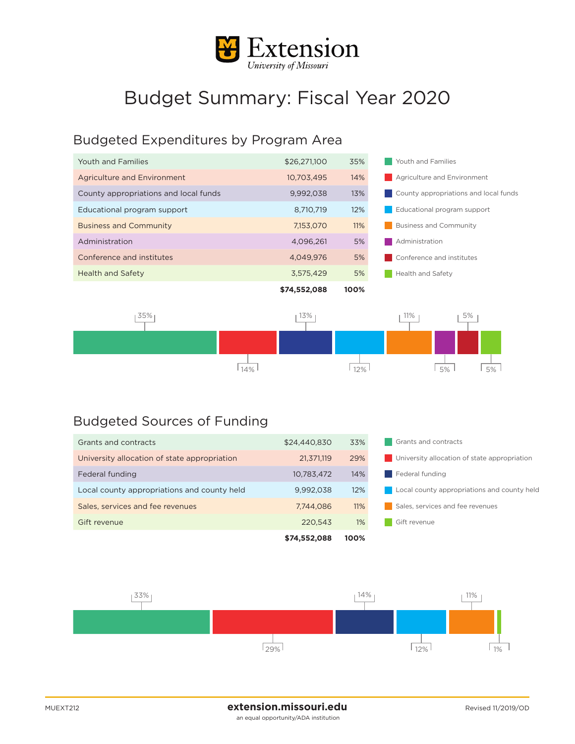

## Budget Summary: Fiscal Year 2020

## Budgeted Expenditures by Program Area

| Youth and Families                    | \$26,271,100 | 35%  | Youth and Families                    |  |
|---------------------------------------|--------------|------|---------------------------------------|--|
| Agriculture and Environment           | 10,703,495   | 14%  | Agriculture and Environment           |  |
| County appropriations and local funds | 9,992,038    | 13%  | County appropriations and local funds |  |
| Educational program support           | 8.710.719    | 12%  | Educational program support           |  |
| <b>Business and Community</b>         | 7,153,070    | 11%  | <b>Business and Community</b>         |  |
| Administration                        | 4.096.261    | 5%   | Administration                        |  |
| Conference and institutes             | 4.049.976    | 5%   | Conference and institutes             |  |
| <b>Health and Safety</b>              | 3,575,429    | 5%   | <b>Health and Safety</b>              |  |
|                                       | \$74,552,088 | 100% |                                       |  |
|                                       |              |      |                                       |  |



## Budgeted Sources of Funding

|                                              | \$74,552,088 | 100%  |                                                    |  |
|----------------------------------------------|--------------|-------|----------------------------------------------------|--|
| Gift revenue                                 | 220,543      | $1\%$ | Gift revenue                                       |  |
| Sales, services and fee revenues             | 7.744.086    | 11%   | Sales, services and fee revenues                   |  |
| Local county appropriations and county held  | 9.992.038    | 12%   | <b>Local county appropriations and county held</b> |  |
| Federal funding                              | 10,783,472   | 14%   | Federal funding                                    |  |
| University allocation of state appropriation | 21.371.119   | 29%   | University allocation of state appropriation       |  |
| Grants and contracts                         | \$24,440,830 | 33%   | Grants and contracts                               |  |